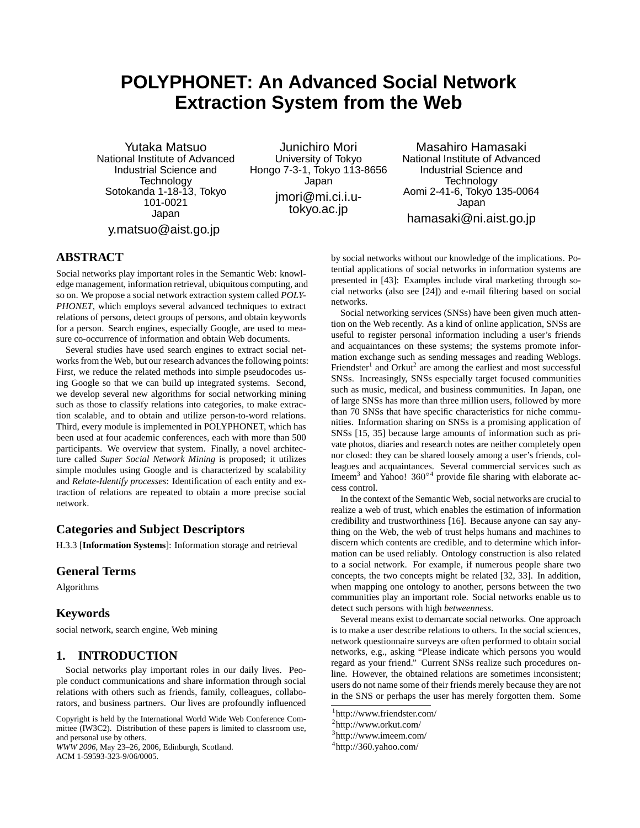# **POLYPHONET: An Advanced Social Network Extraction System from the Web**

Yutaka Matsuo National Institute of Advanced Industrial Science and **Technology** Sotokanda 1-18-13, Tokyo 101-0021 Japan

Junichiro Mori University of Tokyo Hongo 7-3-1, Tokyo 113-8656 Japan jmori@mi.ci.i.utokyo.ac.jp

Masahiro Hamasaki National Institute of Advanced Industrial Science and **Technology** Aomi 2-41-6, Tokyo 135-0064 Japan hamasaki@ni.aist.go.jp

y.matsuo@aist.go.jp

# **ABSTRACT**

Social networks play important roles in the Semantic Web: knowledge management, information retrieval, ubiquitous computing, and so on. We propose a social network extraction system called *POLY-PHONET*, which employs several advanced techniques to extract relations of persons, detect groups of persons, and obtain keywords for a person. Search engines, especially Google, are used to measure co-occurrence of information and obtain Web documents.

Several studies have used search engines to extract social networks from the Web, but our research advances the following points: First, we reduce the related methods into simple pseudocodes using Google so that we can build up integrated systems. Second, we develop several new algorithms for social networking mining such as those to classify relations into categories, to make extraction scalable, and to obtain and utilize person-to-word relations. Third, every module is implemented in POLYPHONET, which has been used at four academic conferences, each with more than 500 participants. We overview that system. Finally, a novel architecture called *Super Social Network Mining* is proposed; it utilizes simple modules using Google and is characterized by scalability and *Relate-Identify processes*: Identification of each entity and extraction of relations are repeated to obtain a more precise social network.

# **Categories and Subject Descriptors**

H.3.3 [**Information Systems**]: Information storage and retrieval

### **General Terms**

Algorithms

### **Keywords**

social network, search engine, Web mining

# **1. INTRODUCTION**

Social networks play important roles in our daily lives. People conduct communications and share information through social relations with others such as friends, family, colleagues, collaborators, and business partners. Our lives are profoundly influenced

Copyright is held by the International World Wide Web Conference Committee (IW3C2). Distribution of these papers is limited to classroom use, and personal use by others.

*WWW 2006*, May 23–26, 2006, Edinburgh, Scotland. ACM 1-59593-323-9/06/0005.

by social networks without our knowledge of the implications. Potential applications of social networks in information systems are presented in [43]: Examples include viral marketing through social networks (also see [24]) and e-mail filtering based on social networks.

Social networking services (SNSs) have been given much attention on the Web recently. As a kind of online application, SNSs are useful to register personal information including a user's friends and acquaintances on these systems; the systems promote information exchange such as sending messages and reading Weblogs. Friendster<sup>1</sup> and Orkut<sup>2</sup> are among the earliest and most successful SNSs. Increasingly, SNSs especially target focused communities such as music, medical, and business communities. In Japan, one of large SNSs has more than three million users, followed by more than 70 SNSs that have specific characteristics for niche communities. Information sharing on SNSs is a promising application of SNSs [15, 35] because large amounts of information such as private photos, diaries and research notes are neither completely open nor closed: they can be shared loosely among a user's friends, colleagues and acquaintances. Several commercial services such as Imeem<sup>3</sup> and Yahoo! 360<sup>°4</sup> provide file sharing with elaborate access control.

In the context of the Semantic Web, social networks are crucial to realize a web of trust, which enables the estimation of information credibility and trustworthiness [16]. Because anyone can say anything on the Web, the web of trust helps humans and machines to discern which contents are credible, and to determine which information can be used reliably. Ontology construction is also related to a social network. For example, if numerous people share two concepts, the two concepts might be related [32, 33]. In addition, when mapping one ontology to another, persons between the two communities play an important role. Social networks enable us to detect such persons with high *betweenness*.

Several means exist to demarcate social networks. One approach is to make a user describe relations to others. In the social sciences, network questionnaire surveys are often performed to obtain social networks, e.g., asking "Please indicate which persons you would regard as your friend." Current SNSs realize such procedures online. However, the obtained relations are sometimes inconsistent; users do not name some of their friends merely because they are not in the SNS or perhaps the user has merely forgotten them. Some

<sup>1</sup> http://www.friendster.com/

<sup>2</sup> http://www.orkut.com/

<sup>3</sup> http://www.imeem.com/

<sup>4</sup> http://360.yahoo.com/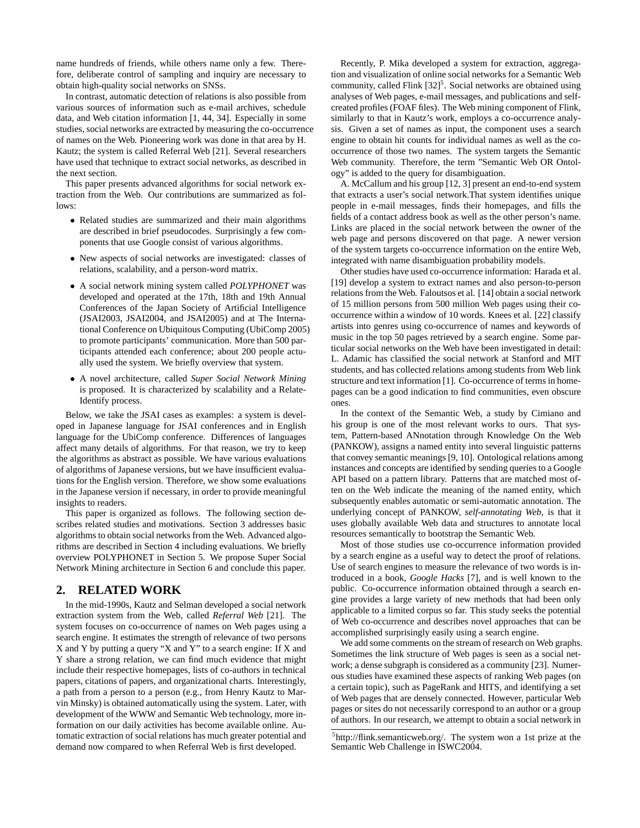name hundreds of friends, while others name only a few. Therefore, deliberate control of sampling and inquiry are necessary to obtain high-quality social networks on SNSs.

In contrast, automatic detection of relations is also possible from various sources of information such as e-mail archives, schedule data, and Web citation information [1, 44, 34]. Especially in some studies, social networks are extracted by measuring the co-occurrence of names on the Web. Pioneering work was done in that area by H. Kautz; the system is called Referral Web [21]. Several researchers have used that technique to extract social networks, as described in the next section.

This paper presents advanced algorithms for social network extraction from the Web. Our contributions are summarized as follows:

- Related studies are summarized and their main algorithms are described in brief pseudocodes. Surprisingly a few components that use Google consist of various algorithms.
- New aspects of social networks are investigated: classes of relations, scalability, and a person-word matrix.
- A social network mining system called *POLYPHONET* was developed and operated at the 17th, 18th and 19th Annual Conferences of the Japan Society of Artificial Intelligence (JSAI2003, JSAI2004, and JSAI2005) and at The International Conference on Ubiquitous Computing (UbiComp 2005) to promote participants' communication. More than 500 participants attended each conference; about 200 people actually used the system. We briefly overview that system.
- A novel architecture, called *Super Social Network Mining* is proposed. It is characterized by scalability and a Relate-Identify process.

Below, we take the JSAI cases as examples: a system is developed in Japanese language for JSAI conferences and in English language for the UbiComp conference. Differences of languages affect many details of algorithms. For that reason, we try to keep the algorithms as abstract as possible. We have various evaluations of algorithms of Japanese versions, but we have insufficient evaluations for the English version. Therefore, we show some evaluations in the Japanese version if necessary, in order to provide meaningful insights to readers.

This paper is organized as follows. The following section describes related studies and motivations. Section 3 addresses basic algorithms to obtain social networks from the Web. Advanced algorithms are described in Section 4 including evaluations. We briefly overview POLYPHONET in Section 5. We propose Super Social Network Mining architecture in Section 6 and conclude this paper.

#### **2. RELATED WORK**

In the mid-1990s, Kautz and Selman developed a social network extraction system from the Web, called *Referral Web* [21]. The system focuses on co-occurrence of names on Web pages using a search engine. It estimates the strength of relevance of two persons X and Y by putting a query "X and Y" to a search engine: If X and Y share a strong relation, we can find much evidence that might include their respective homepages, lists of co-authors in technical papers, citations of papers, and organizational charts. Interestingly, a path from a person to a person (e.g., from Henry Kautz to Marvin Minsky) is obtained automatically using the system. Later, with development of the WWW and Semantic Web technology, more information on our daily activities has become available online. Automatic extraction of social relations has much greater potential and demand now compared to when Referral Web is first developed.

Recently, P. Mika developed a system for extraction, aggregation and visualization of online social networks for a Semantic Web community, called Flink  $[32]$ <sup>5</sup>. Social networks are obtained using analyses of Web pages, e-mail messages, and publications and selfcreated profiles (FOAF files). The Web mining component of Flink, similarly to that in Kautz's work, employs a co-occurrence analysis. Given a set of names as input, the component uses a search engine to obtain hit counts for individual names as well as the cooccurrence of those two names. The system targets the Semantic Web community. Therefore, the term "Semantic Web OR Ontology" is added to the query for disambiguation.

A. McCallum and his group [12, 3] present an end-to-end system that extracts a user's social network.That system identifies unique people in e-mail messages, finds their homepages, and fills the fields of a contact address book as well as the other person's name. Links are placed in the social network between the owner of the web page and persons discovered on that page. A newer version of the system targets co-occurrence information on the entire Web, integrated with name disambiguation probability models.

Other studies have used co-occurrence information: Harada et al. [19] develop a system to extract names and also person-to-person relations from the Web. Faloutsos et al. [14] obtain a social network of 15 million persons from 500 million Web pages using their cooccurrence within a window of 10 words. Knees et al. [22] classify artists into genres using co-occurrence of names and keywords of music in the top 50 pages retrieved by a search engine. Some particular social networks on the Web have been investigated in detail: L. Adamic has classified the social network at Stanford and MIT students, and has collected relations among students from Web link structure and text information [1]. Co-occurrence of terms in homepages can be a good indication to find communities, even obscure ones.

In the context of the Semantic Web, a study by Cimiano and his group is one of the most relevant works to ours. That system, Pattern-based ANnotation through Knowledge On the Web (PANKOW), assigns a named entity into several linguistic patterns that convey semantic meanings [9, 10]. Ontological relations among instances and concepts are identified by sending queries to a Google API based on a pattern library. Patterns that are matched most often on the Web indicate the meaning of the named entity, which subsequently enables automatic or semi-automatic annotation. The underlying concept of PANKOW, *self-annotating Web*, is that it uses globally available Web data and structures to annotate local resources semantically to bootstrap the Semantic Web.

Most of those studies use co-occurrence information provided by a search engine as a useful way to detect the proof of relations. Use of search engines to measure the relevance of two words is introduced in a book, *Google Hacks* [7], and is well known to the public. Co-occurrence information obtained through a search engine provides a large variety of new methods that had been only applicable to a limited corpus so far. This study seeks the potential of Web co-occurrence and describes novel approaches that can be accomplished surprisingly easily using a search engine.

We add some comments on the stream of research on Web graphs. Sometimes the link structure of Web pages is seen as a social network; a dense subgraph is considered as a community [23]. Numerous studies have examined these aspects of ranking Web pages (on a certain topic), such as PageRank and HITS, and identifying a set of Web pages that are densely connected. However, particular Web pages or sites do not necessarily correspond to an author or a group of authors. In our research, we attempt to obtain a social network in

<sup>&</sup>lt;sup>5</sup>http://flink.semanticweb.org/. The system won a 1st prize at the Semantic Web Challenge in ISWC2004.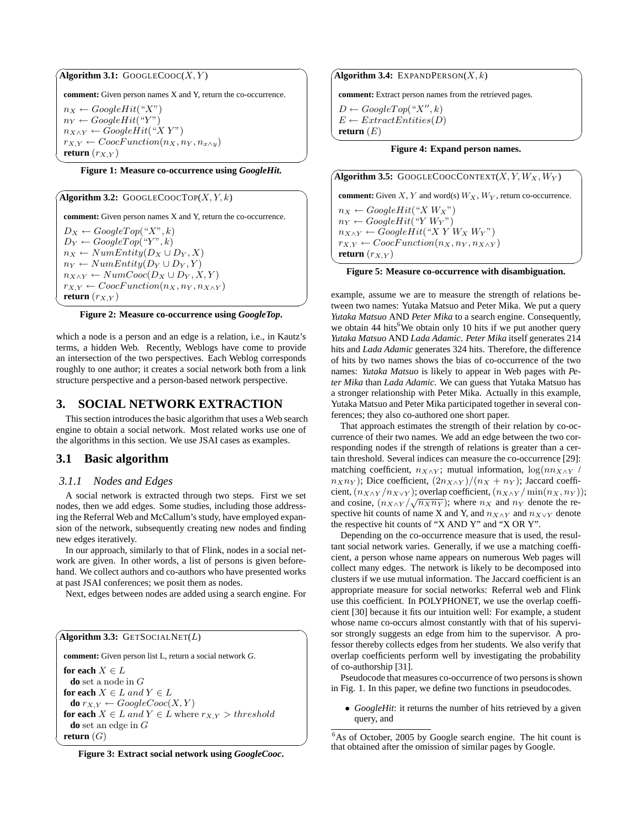```
\widehat{Algorithm 3.1: GOOGLECOOC(X, Y)
```
**comment:** Given person names X and Y, return the co-occurrence.

 $n_X \leftarrow GoogleHit("X")$  $n_Y \leftarrow GoogleHit("Y")$  $n_{X\wedge Y} \leftarrow GoogleHit("X Y")$  $r_{X,Y} \leftarrow \text{CoocFunction}(n_X, n_Y, n_{X \wedge y})$ **return**  $(r_{X,Y})$ 

✍

**Figure 1: Measure co-occurrence using** *GoogleHit***.**

# $\widehat{$ **Algorithm 3.2:** GOOGLECOOCTOP $(X, Y, k)$

**comment:** Given person names X and Y, return the co-occurrence.

✍  $D_X \leftarrow GoogleTop("X", k)$  $D_Y \leftarrow GoogleTop("Y", k)$  $n_X \leftarrow NumEntity(D_X \cup D_Y, X)$  $n_Y \leftarrow NumEntity(D_Y \cup D_Y, Y)$  $n_{X \wedge Y} \leftarrow NumCooc(D_X \cup D_Y, X, Y)$  $r_{X,Y} \leftarrow \text{CoocFunction}(n_X, n_Y, n_{X \wedge Y})$ **return**  $(r_{X,Y})$ 

**Figure 2: Measure co-occurrence using** *GoogleTop***.**

which a node is a person and an edge is a relation, i.e., in Kautz's terms, a hidden Web. Recently, Weblogs have come to provide an intersection of the two perspectives. Each Weblog corresponds roughly to one author; it creates a social network both from a link structure perspective and a person-based network perspective.

# **3. SOCIAL NETWORK EXTRACTION**

This section introduces the basic algorithm that uses a Web search engine to obtain a social network. Most related works use one of the algorithms in this section. We use JSAI cases as examples.

# **3.1 Basic algorithm**

### *3.1.1 Nodes and Edges*

A social network is extracted through two steps. First we set nodes, then we add edges. Some studies, including those addressing the Referral Web and McCallum's study, have employed expansion of the network, subsequently creating new nodes and finding new edges iteratively.

In our approach, similarly to that of Flink, nodes in a social network are given. In other words, a list of persons is given beforehand. We collect authors and co-authors who have presented works at past JSAI conferences; we posit them as nodes.

Next, edges between nodes are added using a search engine. For

✎ **Algorithm 3.3:** GETSOCIALNET(L) ✍ **comment:** Given person list L, return a social network *G*. **for each**  $X \in L$ **do** set a node in G **for each**  $X \in L$  and  $Y \in L$ **do**  $r_{X,Y} \leftarrow GoogleCooc(X,Y)$ **for each**  $X \in L$  and  $Y \in L$  where  $r_{X,Y} > threshold$ **do** set an edge in G **return**  $(G)$ 

**Figure 3: Extract social network using** *GoogleCooc***.**

 $\widehat{$ **Algorithm 3.4:** EXPANDPERSON $(X, k)$ 

**comment:** Extract person names from the retrieved pages.

✍  $D \leftarrow GoogleTop("X", k)$  $E \leftarrow ExtractEntities(D)$ **return**  $(E)$ 

#### **Figure 4: Expand person names.**

| <b>Algorithm 3.5:</b> GOOGLECOOCCONTEXT(X, Y, $W_X$ , $W_Y$ )                |
|------------------------------------------------------------------------------|
| <b>comment:</b> Given X, Y and word(s) $W_X$ , $W_Y$ , return co-occurrence. |
| $n_X \leftarrow GoogleHit("X \, W_X")$                                       |
| $n_Y \leftarrow GoogleHit("Y W_Y")$                                          |
| $n_{X\wedge Y} \leftarrow GoogleHit("X Y W_X W_Y")$                          |
| $r_{X,Y} \leftarrow \text{CoocFunction}(n_X, n_Y, n_{X \wedge Y})$           |
| <b>return</b> $(r_{X,Y})$                                                    |
|                                                                              |

**Figure 5: Measure co-occurrence with disambiguation.**

example, assume we are to measure the strength of relations between two names: Yutaka Matsuo and Peter Mika. We put a query *Yutaka Matsuo* AND *Peter Mika* to a search engine. Consequently, we obtain 44 hits<sup>6</sup>We obtain only 10 hits if we put another query *Yutaka Matsuo* AND *Lada Adamic*. *Peter Mika* itself generates 214 hits and *Lada Adamic* generates 324 hits. Therefore, the difference of hits by two names shows the bias of co-occurrence of the two names: *Yutaka Matsuo* is likely to appear in Web pages with *Peter Mika* than *Lada Adamic*. We can guess that Yutaka Matsuo has a stronger relationship with Peter Mika. Actually in this example, Yutaka Matsuo and Peter Mika participated together in several conferences; they also co-authored one short paper.

That approach estimates the strength of their relation by co-occurrence of their two names. We add an edge between the two corresponding nodes if the strength of relations is greater than a certain threshold. Several indices can measure the co-occurrence [29]: matching coefficient,  $n_{X\wedge Y}$ ; mutual information,  $\log(n n_{X\wedge Y})$  $n_X n_Y$ ; Dice coefficient,  $\left(\frac{2n_{X\wedge Y}}{n_X + n_Y}\right)$ ; Jaccard coefficient,  $(n_{X\wedge Y}/n_{X\vee Y})$ ; overlap coefficient,  $(n_{X\wedge Y}/\min(n_X, n_Y))$ ; and cosine,  $(n_{X\wedge Y}/n_{X\vee Y})$ , overlap coefficient,  $(n_{X\wedge Y}/n_{I\wedge Y})$ <br>and cosine,  $(n_{X\wedge Y}/\sqrt{n_{X}n_{Y}})$ ; where  $n_X$  and  $n_Y$  denote the respective hit counts of name X and Y, and n*<sup>X</sup>*∧*<sup>Y</sup>* and n*<sup>X</sup>*∨*<sup>Y</sup>* denote the respective hit counts of "X AND Y" and "X OR Y".

Depending on the co-occurrence measure that is used, the resultant social network varies. Generally, if we use a matching coefficient, a person whose name appears on numerous Web pages will collect many edges. The network is likely to be decomposed into clusters if we use mutual information. The Jaccard coefficient is an appropriate measure for social networks: Referral web and Flink use this coefficient. In POLYPHONET, we use the overlap coefficient [30] because it fits our intuition well: For example, a student whose name co-occurs almost constantly with that of his supervisor strongly suggests an edge from him to the supervisor. A professor thereby collects edges from her students. We also verify that overlap coefficients perform well by investigating the probability of co-authorship [31].

Pseudocode that measures co-occurrence of two persons is shown in Fig. 1. In this paper, we define two functions in pseudocodes.

• *GoogleHit*: it returns the number of hits retrieved by a given query, and

<sup>&</sup>lt;sup>6</sup>As of October, 2005 by Google search engine. The hit count is that obtained after the omission of similar pages by Google.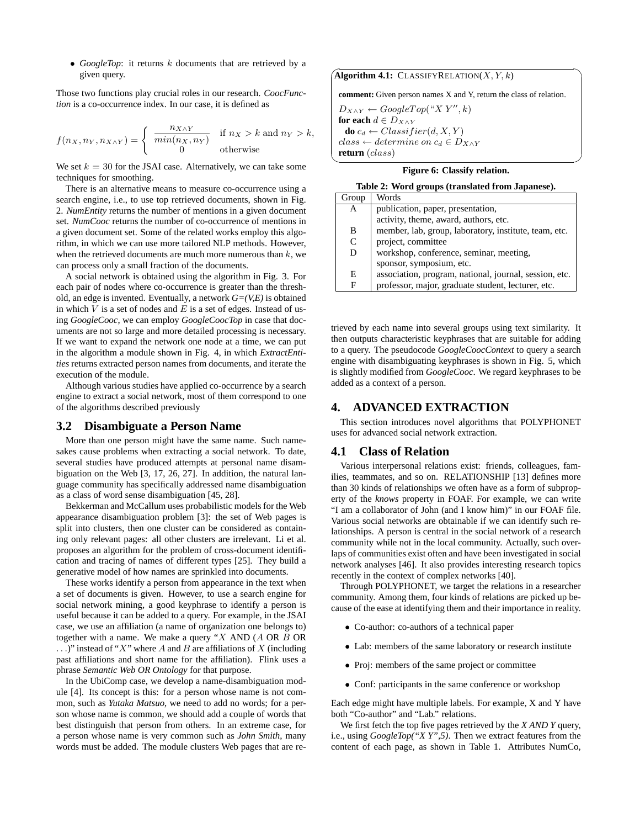• *GoogleTop*: it returns k documents that are retrieved by a given query.

Those two functions play crucial roles in our research. *CoocFunction* is a co-occurrence index. In our case, it is defined as

$$
f(n_X, n_Y, n_{X \wedge Y}) = \begin{cases} \frac{n_{X \wedge Y}}{min(n_X, n_Y)} & \text{if } n_X > k \text{ and } n_Y > k, \\ 0 & \text{otherwise} \end{cases}
$$

We set  $k = 30$  for the JSAI case. Alternatively, we can take some techniques for smoothing.

There is an alternative means to measure co-occurrence using a search engine, i.e., to use top retrieved documents, shown in Fig. 2. *NumEntity* returns the number of mentions in a given document set. *NumCooc* returns the number of co-occurrence of mentions in a given document set. Some of the related works employ this algorithm, in which we can use more tailored NLP methods. However, when the retrieved documents are much more numerous than  $k$ , we can process only a small fraction of the documents.

A social network is obtained using the algorithm in Fig. 3. For each pair of nodes where co-occurrence is greater than the threshold, an edge is invented. Eventually, a network *G=(V,E)* is obtained in which  $V$  is a set of nodes and  $E$  is a set of edges. Instead of using *GoogleCooc*, we can employ *GoogleCoocTop* in case that documents are not so large and more detailed processing is necessary. If we want to expand the network one node at a time, we can put in the algorithm a module shown in Fig. 4, in which *ExtractEntities* returns extracted person names from documents, and iterate the execution of the module.

Although various studies have applied co-occurrence by a search engine to extract a social network, most of them correspond to one of the algorithms described previously

### **3.2 Disambiguate a Person Name**

More than one person might have the same name. Such namesakes cause problems when extracting a social network. To date, several studies have produced attempts at personal name disambiguation on the Web [3, 17, 26, 27]. In addition, the natural language community has specifically addressed name disambiguation as a class of word sense disambiguation [45, 28].

Bekkerman and McCallum uses probabilistic models for the Web appearance disambiguation problem [3]: the set of Web pages is split into clusters, then one cluster can be considered as containing only relevant pages: all other clusters are irrelevant. Li et al. proposes an algorithm for the problem of cross-document identification and tracing of names of different types [25]. They build a generative model of how names are sprinkled into documents.

These works identify a person from appearance in the text when a set of documents is given. However, to use a search engine for social network mining, a good keyphrase to identify a person is useful because it can be added to a query. For example, in the JSAI case, we use an affiliation (a name of organization one belongs to) together with a name. We make a query " $X$  AND ( $A$  OR  $B$  OR  $\dots$ )" instead of "X" where A and B are affiliations of X (including past affiliations and short name for the affiliation). Flink uses a phrase *Semantic Web OR Ontology* for that purpose.

In the UbiComp case, we develop a name-disambiguation module [4]. Its concept is this: for a person whose name is not common, such as *Yutaka Matsuo*, we need to add no words; for a person whose name is common, we should add a couple of words that best distinguish that person from others. In an extreme case, for a person whose name is very common such as *John Smith*, many words must be added. The module clusters Web pages that are re $\widehat{$ **Algorithm 4.1:** CLASSIFYRELATION $(X, Y, k)$ 

**comment:** Given person names X and Y, return the class of relation.

 $D_{X\wedge Y} \leftarrow GoogleTop("X Y'', k)$ **for each**  $d \in D_{X \wedge Y}$ **do**  $c_d \leftarrow Classifier(d, X, Y)$  $class \leftarrow determine on c_d \in D_{X \wedge Y}$ **return** (class)

✍

#### **Figure 6: Classify relation.**

#### **Table 2: Word groups (translated from Japanese).**

| Group | Words                                                  |
|-------|--------------------------------------------------------|
| А     | publication, paper, presentation,                      |
|       | activity, theme, award, authors, etc.                  |
| B     | member, lab, group, laboratory, institute, team, etc.  |
| C     | project, committee                                     |
| D     | workshop, conference, seminar, meeting,                |
|       | sponsor, symposium, etc.                               |
| E     | association, program, national, journal, session, etc. |
| F     | professor, major, graduate student, lecturer, etc.     |
|       |                                                        |

trieved by each name into several groups using text similarity. It then outputs characteristic keyphrases that are suitable for adding to a query. The pseudocode *GoogleCoocContext* to query a search engine with disambiguating keyphrases is shown in Fig. 5, which is slightly modified from *GoogleCooc*. We regard keyphrases to be added as a context of a person.

# **4. ADVANCED EXTRACTION**

This section introduces novel algorithms that POLYPHONET uses for advanced social network extraction.

### **4.1 Class of Relation**

Various interpersonal relations exist: friends, colleagues, families, teammates, and so on. RELATIONSHIP [13] defines more than 30 kinds of relationships we often have as a form of subproperty of the *knows* property in FOAF. For example, we can write "I am a collaborator of John (and I know him)" in our FOAF file. Various social networks are obtainable if we can identify such relationships. A person is central in the social network of a research community while not in the local community. Actually, such overlaps of communities exist often and have been investigated in social network analyses [46]. It also provides interesting research topics recently in the context of complex networks [40].

Through POLYPHONET, we target the relations in a researcher community. Among them, four kinds of relations are picked up because of the ease at identifying them and their importance in reality.

- Co-author: co-authors of a technical paper
- Lab: members of the same laboratory or research institute
- Proj: members of the same project or committee
- Conf: participants in the same conference or workshop

Each edge might have multiple labels. For example, X and Y have both "Co-author" and "Lab." relations.

We first fetch the top five pages retrieved by the *X AND Y* query, i.e., using *GoogleTop("X Y",5)*. Then we extract features from the content of each page, as shown in Table 1. Attributes NumCo,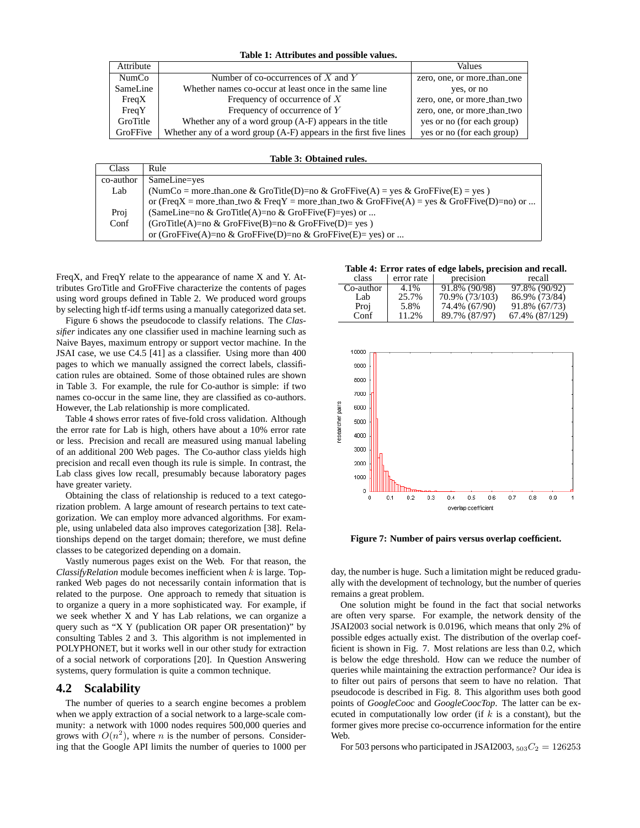**Table 1: Attributes and possible values.**

| Attribute |                                                                   | Values                      |
|-----------|-------------------------------------------------------------------|-----------------------------|
| NumCo     | Number of co-occurrences of $X$ and $Y$                           | zero, one, or more than one |
| SameLine  | Whether names co-occur at least once in the same line             | yes, or no                  |
| FreqX     | Frequency of occurrence of $X$                                    | zero, one, or more than two |
| FreqY     | Frequency of occurrence of $Y$                                    | zero, one, or more than two |
| GroTitle  | Whether any of a word group $(A-F)$ appears in the title          | yes or no (for each group)  |
| GroFFive  | Whether any of a word group (A-F) appears in the first five lines | yes or no (for each group)  |

| Table 3: Obtained rules. |                                                                                            |  |  |  |  |
|--------------------------|--------------------------------------------------------------------------------------------|--|--|--|--|
| Class                    | Rule                                                                                       |  |  |  |  |
| co-author                | SameLine=yes                                                                               |  |  |  |  |
| Lab                      | (NumCo = more_than_one & GroTitle(D)=no & GroFFive(A) = yes & GroFFive(E) = yes)           |  |  |  |  |
|                          | or (FreqX = more_than_two & FreqY = more_than_two & GroFFive(A) = yes & GroFFive(D)=no) or |  |  |  |  |
| Proj                     | (SameLine=no & GroTitle(A)=no & GroFFive(F)=yes) or                                        |  |  |  |  |
| Conf                     | (GroTitle(A)=no & GroFFive(B)=no & GroFFive(D)= yes)                                       |  |  |  |  |
|                          | or (GroFFive(A)=no & GroFFive(D)=no & GroFFive(E)= yes) or                                 |  |  |  |  |

FreqX, and FreqY relate to the appearance of name X and Y. Attributes GroTitle and GroFFive characterize the contents of pages using word groups defined in Table 2. We produced word groups by selecting high tf-idf terms using a manually categorized data set.

Figure 6 shows the pseudocode to classify relations. The *Classifier* indicates any one classifier used in machine learning such as Naive Bayes, maximum entropy or support vector machine. In the JSAI case, we use C4.5 [41] as a classifier. Using more than 400 pages to which we manually assigned the correct labels, classification rules are obtained. Some of those obtained rules are shown in Table 3. For example, the rule for Co-author is simple: if two names co-occur in the same line, they are classified as co-authors. However, the Lab relationship is more complicated.

Table 4 shows error rates of five-fold cross validation. Although the error rate for Lab is high, others have about a 10% error rate or less. Precision and recall are measured using manual labeling of an additional 200 Web pages. The Co-author class yields high precision and recall even though its rule is simple. In contrast, the Lab class gives low recall, presumably because laboratory pages have greater variety.

Obtaining the class of relationship is reduced to a text categorization problem. A large amount of research pertains to text categorization. We can employ more advanced algorithms. For example, using unlabeled data also improves categorization [38]. Relationships depend on the target domain; therefore, we must define classes to be categorized depending on a domain.

Vastly numerous pages exist on the Web. For that reason, the *ClassifyRelation* module becomes inefficient when k is large. Topranked Web pages do not necessarily contain information that is related to the purpose. One approach to remedy that situation is to organize a query in a more sophisticated way. For example, if we seek whether X and Y has Lab relations, we can organize a query such as "X Y (publication OR paper OR presentation)" by consulting Tables 2 and 3. This algorithm is not implemented in POLYPHONET, but it works well in our other study for extraction of a social network of corporations [20]. In Question Answering systems, query formulation is quite a common technique.

### **4.2 Scalability**

The number of queries to a search engine becomes a problem when we apply extraction of a social network to a large-scale community: a network with 1000 nodes requires 500,000 queries and grows with  $O(n^2)$ , where *n* is the number of persons. Considering that the Google API limits the number of queries to 1000 per

#### **Table 4: Error rates of edge labels, precision and recall.**

| class     | error rate | precision      | recall         |
|-----------|------------|----------------|----------------|
| Co-author | 4.1%       | 91.8% (90/98)  | 97.8% (90/92)  |
| Lab.      | 25.7%      | 70.9% (73/103) | 86.9% (73/84)  |
| Proj      | 5.8%       | 74.4% (67/90)  | 91.8% (67/73)  |
| Conf      | 11.2%      | 89.7% (87/97)  | 67.4% (87/129) |



**Figure 7: Number of pairs versus overlap coefficient.**

day, the number is huge. Such a limitation might be reduced gradually with the development of technology, but the number of queries remains a great problem.

One solution might be found in the fact that social networks are often very sparse. For example, the network density of the JSAI2003 social network is 0.0196, which means that only 2% of possible edges actually exist. The distribution of the overlap coefficient is shown in Fig. 7. Most relations are less than 0.2, which is below the edge threshold. How can we reduce the number of queries while maintaining the extraction performance? Our idea is to filter out pairs of persons that seem to have no relation. That pseudocode is described in Fig. 8. This algorithm uses both good points of *GoogleCooc* and *GoogleCoocTop*. The latter can be executed in computationally low order (if  $k$  is a constant), but the former gives more precise co-occurrence information for the entire Web.

For 503 persons who participated in JSAI2003,  $_{503}C_2 = 126253$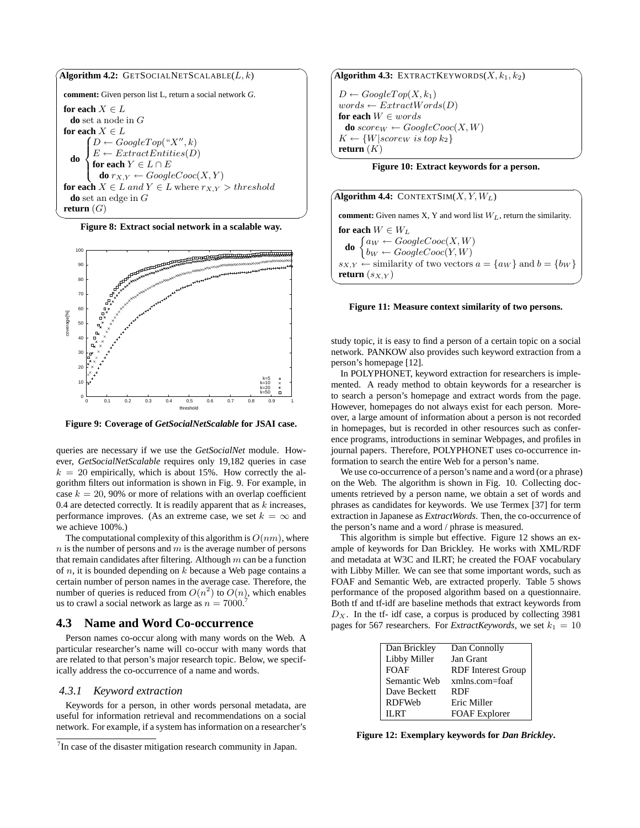

**Figure 8: Extract social network in a scalable way.**



**Figure 9: Coverage of** *GetSocialNetScalable* **for JSAI case.**

queries are necessary if we use the *GetSocialNet* module. However, *GetSocialNetScalable* requires only 19,182 queries in case  $k = 20$  empirically, which is about 15%. How correctly the algorithm filters out information is shown in Fig. 9. For example, in case  $k = 20,90\%$  or more of relations with an overlap coefficient 0.4 are detected correctly. It is readily apparent that as  $k$  increases, performance improves. (As an extreme case, we set  $k = \infty$  and we achieve 100%.)

The computational complexity of this algorithm is  $O(nm)$ , where  $n$  is the number of persons and  $m$  is the average number of persons that remain candidates after filtering. Although  $m$  can be a function of  $n$ , it is bounded depending on  $k$  because a Web page contains a certain number of person names in the average case. Therefore, the number of queries is reduced from  $O(n^2)$  to  $O(n)$ , which enables us to crawl a social network as large as  $n = 7000$ .<sup>7</sup>

#### **4.3 Name and Word Co-occurrence**

Person names co-occur along with many words on the Web. A particular researcher's name will co-occur with many words that are related to that person's major research topic. Below, we specifically address the co-occurrence of a name and words.

#### *4.3.1 Keyword extraction*

Keywords for a person, in other words personal metadata, are useful for information retrieval and recommendations on a social network. For example, if a system has information on a researcher's  $\sqrt{\text{Algorithm 4.3: EXTRACTKEYWORDS}(X, k_1, k_2)}$ 

 $D \leftarrow GoogleTop(X, k_1)$  $words \leftarrow ExtractWords(D)$ **for each**  $W \in words$ **do** score $W \leftarrow GoogleCooc(X, W)$  $K \leftarrow \{W|score_W \text{ is top } k_2\}$ **return**  $(K)$ 

✍

#### **Figure 10: Extract keywords for a person.**



**Figure 11: Measure context similarity of two persons.**

study topic, it is easy to find a person of a certain topic on a social network. PANKOW also provides such keyword extraction from a person's homepage [12].

In POLYPHONET, keyword extraction for researchers is implemented. A ready method to obtain keywords for a researcher is to search a person's homepage and extract words from the page. However, homepages do not always exist for each person. Moreover, a large amount of information about a person is not recorded in homepages, but is recorded in other resources such as conference programs, introductions in seminar Webpages, and profiles in journal papers. Therefore, POLYPHONET uses co-occurrence information to search the entire Web for a person's name.

We use co-occurrence of a person's name and a word (or a phrase) on the Web. The algorithm is shown in Fig. 10. Collecting documents retrieved by a person name, we obtain a set of words and phrases as candidates for keywords. We use Termex [37] for term extraction in Japanese as *ExtractWords*. Then, the co-occurrence of the person's name and a word / phrase is measured.

This algorithm is simple but effective. Figure 12 shows an example of keywords for Dan Brickley. He works with XML/RDF and metadata at W3C and ILRT; he created the FOAF vocabulary with Libby Miller. We can see that some important words, such as FOAF and Semantic Web, are extracted properly. Table 5 shows performance of the proposed algorithm based on a questionnaire. Both tf and tf-idf are baseline methods that extract keywords from  $D_X$ . In the tf- idf case, a corpus is produced by collecting 3981 pages for 567 researchers. For *ExtractKeywords*, we set  $k_1 = 10$ 

| Dan Brickley  | Dan Connolly              |
|---------------|---------------------------|
| Libby Miller  | Jan Grant                 |
| <b>FOAF</b>   | <b>RDF</b> Interest Group |
| Semantic Web  | xmlns.com=foaf            |
| Dave Beckett  | RDF                       |
| <b>RDFWeb</b> | Eric Miller               |
| <b>II RT</b>  | <b>FOAF</b> Explorer      |

**Figure 12: Exemplary keywords for** *Dan Brickley***.**

 $7$ In case of the disaster mitigation research community in Japan.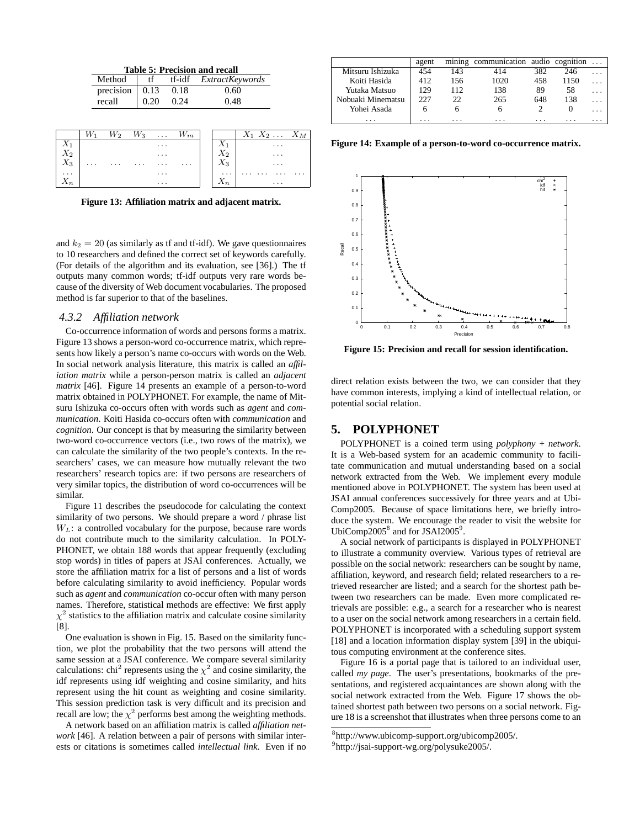| <b>Table 5: Precision and recall</b> |                  |      |                               |  |  |  |
|--------------------------------------|------------------|------|-------------------------------|--|--|--|
| Method                               | $\frac{1}{2}$ tf |      | tf-idf <i>ExtractKeywords</i> |  |  |  |
| $precision$ 0.13                     |                  | 0.18 | 0.60                          |  |  |  |
| recall                               | 0.20             | 0.24 | 0.48                          |  |  |  |

|             |          | W۰       | $W_3$    | $\cdots$ | $W_m$    |                             | $X_2 \ldots$<br>$X_M$<br>$X_1$ |
|-------------|----------|----------|----------|----------|----------|-----------------------------|--------------------------------|
|             |          |          |          | $\cdots$ |          |                             | $\cdots$                       |
|             |          |          |          | $\cdots$ |          | $X_2$                       | $\cdots$                       |
| $X_3$       | $\cdots$ | $\cdots$ | $\cdots$ | $\cdots$ | $\cdots$ | $X_3$                       | $\cdots$                       |
| $\cdots$    |          |          |          | $\cdots$ |          | $\cdots$                    | .<br>$\cdots$<br>$\cdots$      |
| $\Lambda$ n |          |          |          | $\cdots$ |          | $\mathbf{v}$<br>$\Lambda_n$ | $\cdots$                       |

**Figure 13: Affiliation matrix and adjacent matrix.**

and  $k_2 = 20$  (as similarly as tf and tf-idf). We gave questionnaires to 10 researchers and defined the correct set of keywords carefully. (For details of the algorithm and its evaluation, see [36].) The tf outputs many common words; tf-idf outputs very rare words because of the diversity of Web document vocabularies. The proposed method is far superior to that of the baselines.

#### *4.3.2 Affiliation network*

Co-occurrence information of words and persons forms a matrix. Figure 13 shows a person-word co-occurrence matrix, which represents how likely a person's name co-occurs with words on the Web. In social network analysis literature, this matrix is called an *affiliation matrix* while a person-person matrix is called an *adjacent matrix* [46]. Figure 14 presents an example of a person-to-word matrix obtained in POLYPHONET. For example, the name of Mitsuru Ishizuka co-occurs often with words such as *agent* and *communication*. Koiti Hasida co-occurs often with *communication* and *cognition*. Our concept is that by measuring the similarity between two-word co-occurrence vectors (i.e., two rows of the matrix), we can calculate the similarity of the two people's contexts. In the researchers' cases, we can measure how mutually relevant the two researchers' research topics are: if two persons are researchers of very similar topics, the distribution of word co-occurrences will be similar.

Figure 11 describes the pseudocode for calculating the context similarity of two persons. We should prepare a word / phrase list W*L*: a controlled vocabulary for the purpose, because rare words do not contribute much to the similarity calculation. In POLY-PHONET, we obtain 188 words that appear frequently (excluding stop words) in titles of papers at JSAI conferences. Actually, we store the affiliation matrix for a list of persons and a list of words before calculating similarity to avoid inefficiency. Popular words such as *agent* and *communication* co-occur often with many person names. Therefore, statistical methods are effective: We first apply  $\chi^2$  statistics to the affiliation matrix and calculate cosine similarity [8].

One evaluation is shown in Fig. 15. Based on the similarity function, we plot the probability that the two persons will attend the same session at a JSAI conference. We compare several similarity calculations: chi<sup>2</sup> represents using the  $\chi^2$  and cosine similarity, the idf represents using idf weighting and cosine similarity, and hits represent using the hit count as weighting and cosine similarity. This session prediction task is very difficult and its precision and recall are low; the  $\chi^2$  performs best among the weighting methods.

A network based on an affiliation matrix is called *affiliation network* [46]. A relation between a pair of persons with similar interests or citations is sometimes called *intellectual link*. Even if no

|                   | agent | mining | communication audio cognition |     |      |   |
|-------------------|-------|--------|-------------------------------|-----|------|---|
| Mitsuru Ishizuka  | 454   | 143    | 414                           | 382 | 246  |   |
| Koiti Hasida      | 412   | 156    | 1020                          | 458 | 1150 |   |
| Yutaka Matsuo     | 129   | 112    | 138                           | 89  | 58   | . |
| Nobuaki Minematsu | 227   | 22.    | 265                           | 648 | 138  |   |
| Yohei Asada       |       | n      |                               |     |      | . |
| $\cdots$          |       |        | .                             |     |      |   |

**Figure 14: Example of a person-to-word co-occurrence matrix.**



**Figure 15: Precision and recall for session identification.**

direct relation exists between the two, we can consider that they have common interests, implying a kind of intellectual relation, or potential social relation.

## **5. POLYPHONET**

POLYPHONET is a coined term using *polyphony* + *network*. It is a Web-based system for an academic community to facilitate communication and mutual understanding based on a social network extracted from the Web. We implement every module mentioned above in POLYPHONET. The system has been used at JSAI annual conferences successively for three years and at Ubi-Comp2005. Because of space limitations here, we briefly introduce the system. We encourage the reader to visit the website for UbiComp2005<sup>8</sup> and for JSAI2005<sup>9</sup>.

A social network of participants is displayed in POLYPHONET to illustrate a community overview. Various types of retrieval are possible on the social network: researchers can be sought by name, affiliation, keyword, and research field; related researchers to a retrieved researcher are listed; and a search for the shortest path between two researchers can be made. Even more complicated retrievals are possible: e.g., a search for a researcher who is nearest to a user on the social network among researchers in a certain field. POLYPHONET is incorporated with a scheduling support system [18] and a location information display system [39] in the ubiquitous computing environment at the conference sites.

Figure 16 is a portal page that is tailored to an individual user, called *my page*. The user's presentations, bookmarks of the presentations, and registered acquaintances are shown along with the social network extracted from the Web. Figure 17 shows the obtained shortest path between two persons on a social network. Figure 18 is a screenshot that illustrates when three persons come to an

<sup>8</sup> http://www.ubicomp-support.org/ubicomp2005/.

<sup>9</sup> http://jsai-support-wg.org/polysuke2005/.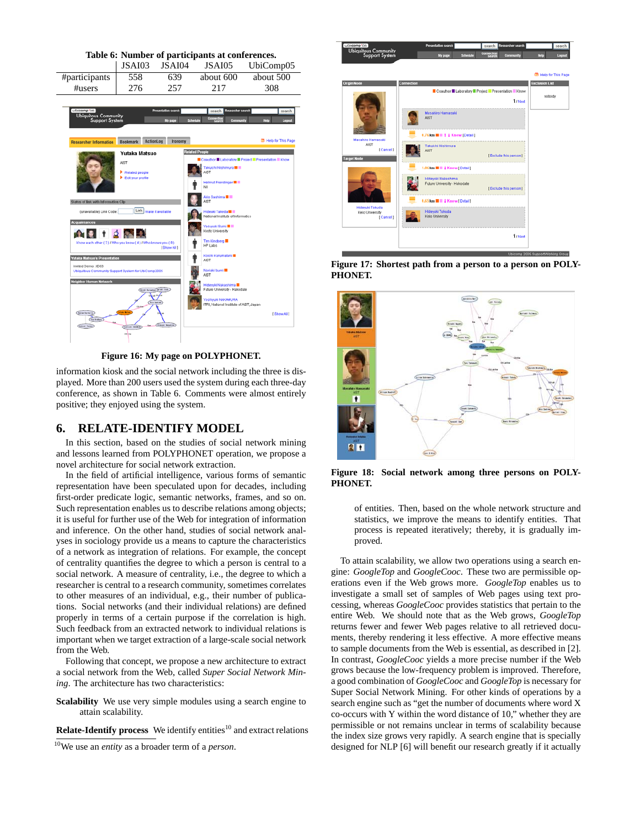

**Figure 16: My page on POLYPHONET.**

information kiosk and the social network including the three is displayed. More than 200 users used the system during each three-day conference, as shown in Table 6. Comments were almost entirely positive; they enjoyed using the system.

# **6. RELATE-IDENTIFY MODEL**

In this section, based on the studies of social network mining and lessons learned from POLYPHONET operation, we propose a novel architecture for social network extraction.

In the field of artificial intelligence, various forms of semantic representation have been speculated upon for decades, including first-order predicate logic, semantic networks, frames, and so on. Such representation enables us to describe relations among objects; it is useful for further use of the Web for integration of information and inference. On the other hand, studies of social network analyses in sociology provide us a means to capture the characteristics of a network as integration of relations. For example, the concept of centrality quantifies the degree to which a person is central to a social network. A measure of centrality, i.e., the degree to which a researcher is central to a research community, sometimes correlates to other measures of an individual, e.g., their number of publications. Social networks (and their individual relations) are defined properly in terms of a certain purpose if the correlation is high. Such feedback from an extracted network to individual relations is important when we target extraction of a large-scale social network from the Web.

Following that concept, we propose a new architecture to extract a social network from the Web, called *Super Social Network Mining*. The architecture has two characteristics:

**Scalability** We use very simple modules using a search engine to attain scalability.

**Relate-Identify process** We identify entities<sup>10</sup> and extract relations



**Figure 17: Shortest path from a person to a person on POLY-PHONET.**



**Figure 18: Social network among three persons on POLY-PHONET.**

of entities. Then, based on the whole network structure and statistics, we improve the means to identify entities. That process is repeated iteratively; thereby, it is gradually improved.

To attain scalability, we allow two operations using a search engine: *GoogleTop* and *GoogleCooc*. These two are permissible operations even if the Web grows more. *GoogleTop* enables us to investigate a small set of samples of Web pages using text processing, whereas *GoogleCooc* provides statistics that pertain to the entire Web. We should note that as the Web grows, *GoogleTop* returns fewer and fewer Web pages relative to all retrieved documents, thereby rendering it less effective. A more effective means to sample documents from the Web is essential, as described in [2]. In contrast, *GoogleCooc* yields a more precise number if the Web grows because the low-frequency problem is improved. Therefore, a good combination of *GoogleCooc* and *GoogleTop* is necessary for Super Social Network Mining. For other kinds of operations by a search engine such as "get the number of documents where word X co-occurs with Y within the word distance of 10," whether they are permissible or not remains unclear in terms of scalability because the index size grows very rapidly. A search engine that is specially designed for NLP [6] will benefit our research greatly if it actually

<sup>10</sup>We use an *entity* as a broader term of a *person*.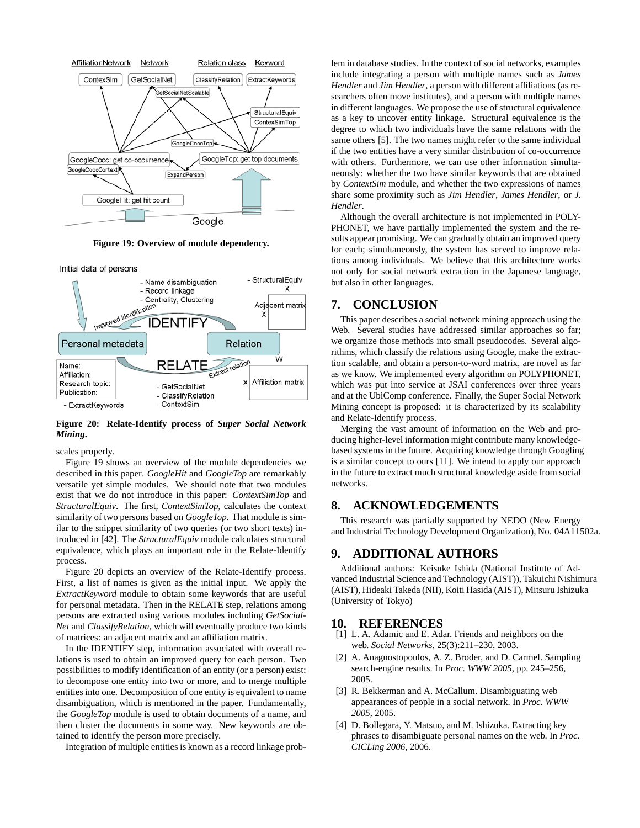

**Figure 19: Overview of module dependency.**

Initial data of persons



**Figure 20: Relate-Identify process of** *Super Social Network Mining***.**

scales properly.

Figure 19 shows an overview of the module dependencies we described in this paper. *GoogleHit* and *GoogleTop* are remarkably versatile yet simple modules. We should note that two modules exist that we do not introduce in this paper: *ContextSimTop* and *StructuralEquiv*. The first, *ContextSimTop*, calculates the context similarity of two persons based on *GoogleTop*. That module is similar to the snippet similarity of two queries (or two short texts) introduced in [42]. The *StructuralEquiv* module calculates structural equivalence, which plays an important role in the Relate-Identify process.

Figure 20 depicts an overview of the Relate-Identify process. First, a list of names is given as the initial input. We apply the *ExtractKeyword* module to obtain some keywords that are useful for personal metadata. Then in the RELATE step, relations among persons are extracted using various modules including *GetSocial-Net* and *ClassifyRelation*, which will eventually produce two kinds of matrices: an adjacent matrix and an affiliation matrix.

In the IDENTIFY step, information associated with overall relations is used to obtain an improved query for each person. Two possibilities to modify identification of an entity (or a person) exist: to decompose one entity into two or more, and to merge multiple entities into one. Decomposition of one entity is equivalent to name disambiguation, which is mentioned in the paper. Fundamentally, the *GoogleTop* module is used to obtain documents of a name, and then cluster the documents in some way. New keywords are obtained to identify the person more precisely.

Integration of multiple entities is known as a record linkage prob-

lem in database studies. In the context of social networks, examples include integrating a person with multiple names such as *James Hendler* and *Jim Hendler*, a person with different affiliations (as researchers often move institutes), and a person with multiple names in different languages. We propose the use of structural equivalence as a key to uncover entity linkage. Structural equivalence is the degree to which two individuals have the same relations with the same others [5]. The two names might refer to the same individual if the two entities have a very similar distribution of co-occurrence with others. Furthermore, we can use other information simultaneously: whether the two have similar keywords that are obtained by *ContextSim* module, and whether the two expressions of names share some proximity such as *Jim Hendler*, *James Hendler*, or *J. Hendler*.

Although the overall architecture is not implemented in POLY-PHONET, we have partially implemented the system and the results appear promising. We can gradually obtain an improved query for each; simultaneously, the system has served to improve relations among individuals. We believe that this architecture works not only for social network extraction in the Japanese language, but also in other languages.

# **7. CONCLUSION**

This paper describes a social network mining approach using the Web. Several studies have addressed similar approaches so far; we organize those methods into small pseudocodes. Several algorithms, which classify the relations using Google, make the extraction scalable, and obtain a person-to-word matrix, are novel as far as we know. We implemented every algorithm on POLYPHONET, which was put into service at JSAI conferences over three years and at the UbiComp conference. Finally, the Super Social Network Mining concept is proposed: it is characterized by its scalability and Relate-Identify process.

Merging the vast amount of information on the Web and producing higher-level information might contribute many knowledgebased systems in the future. Acquiring knowledge through Googling is a similar concept to ours [11]. We intend to apply our approach in the future to extract much structural knowledge aside from social networks.

### **8. ACKNOWLEDGEMENTS**

This research was partially supported by NEDO (New Energy and Industrial Technology Development Organization), No. 04A11502a.

### **9. ADDITIONAL AUTHORS**

Additional authors: Keisuke Ishida (National Institute of Advanced Industrial Science and Technology (AIST)), Takuichi Nishimura (AIST), Hideaki Takeda (NII), Koiti Hasida (AIST), Mitsuru Ishizuka (University of Tokyo)

#### **10. REFERENCES**

- [1] L. A. Adamic and E. Adar. Friends and neighbors on the web. *Social Networks*, 25(3):211–230, 2003.
- [2] A. Anagnostopoulos, A. Z. Broder, and D. Carmel. Sampling search-engine results. In *Proc. WWW 2005*, pp. 245–256, 2005.
- [3] R. Bekkerman and A. McCallum. Disambiguating web appearances of people in a social network. In *Proc. WWW 2005*, 2005.
- [4] D. Bollegara, Y. Matsuo, and M. Ishizuka. Extracting key phrases to disambiguate personal names on the web. In *Proc. CICLing 2006*, 2006.